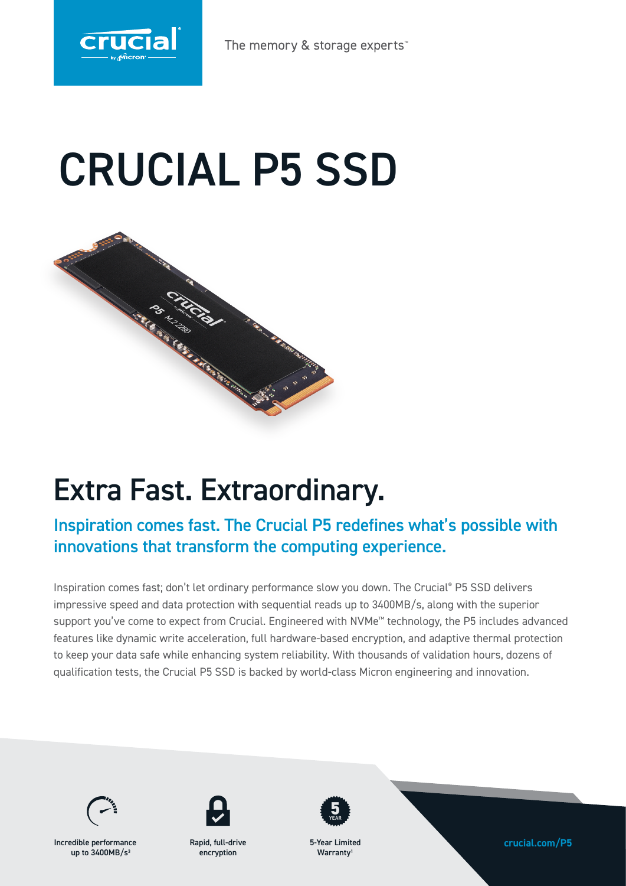

The memory & storage experts

# CRUCIAL P5 SSD



## Extra Fast. Extraordinary.

### Inspiration comes fast. The Crucial P5 redefines what's possible with innovations that transform the computing experience.

Inspiration comes fast; don't let ordinary performance slow you down. The Crucial® P5 SSD delivers impressive speed and data protection with sequential reads up to 3400MB/s, along with the superior support you've come to expect from Crucial. Engineered with NVMe™ technology, the P5 includes advanced features like dynamic write acceleration, full hardware-based encryption, and adaptive thermal protection to keep your data safe while enhancing system reliability. With thousands of validation hours, dozens of qualification tests, the Crucial P5 SSD is backed by world-class Micron engineering and innovation.



Incredible performance **crucial.com/P5** up to  $3400MB/s<sup>3</sup>$ 



Rapid, full-drive encryption



5-Year Limited Warranty<sup>1</sup>